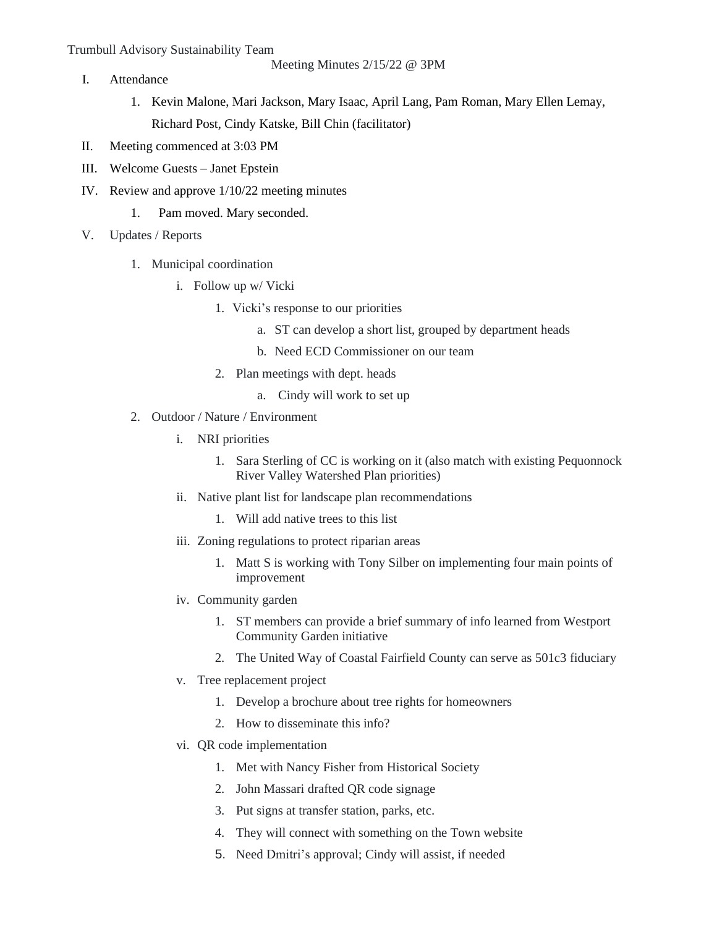## Trumbull Advisory Sustainability Team

Meeting Minutes 2/15/22 @ 3PM

- I. Attendance
	- 1. Kevin Malone, Mari Jackson, Mary Isaac, April Lang, Pam Roman, Mary Ellen Lemay, Richard Post, Cindy Katske, Bill Chin (facilitator)
- II. Meeting commenced at 3:03 PM
- III. Welcome Guests Janet Epstein
- IV. Review and approve 1/10/22 meeting minutes
	- 1. Pam moved. Mary seconded.
- V. Updates / Reports
	- 1. Municipal coordination
		- i. Follow up w/ Vicki
			- 1. Vicki's response to our priorities
				- a. ST can develop a short list, grouped by department heads
				- b. Need ECD Commissioner on our team
			- 2. Plan meetings with dept. heads
				- a. Cindy will work to set up
	- 2. Outdoor / Nature / Environment
		- i. NRI priorities
			- 1. Sara Sterling of CC is working on it (also match with existing Pequonnock River Valley Watershed Plan priorities)
		- ii. Native plant list for landscape plan recommendations
			- 1. Will add native trees to this list
		- iii. Zoning regulations to protect riparian areas
			- 1. Matt S is working with Tony Silber on implementing four main points of improvement
		- iv. Community garden
			- 1. ST members can provide a brief summary of info learned from Westport Community Garden initiative
			- 2. The United Way of Coastal Fairfield County can serve as 501c3 fiduciary
		- v. Tree replacement project
			- 1. Develop a brochure about tree rights for homeowners
			- 2. How to disseminate this info?
		- vi. QR code implementation
			- 1. Met with Nancy Fisher from Historical Society
			- 2. John Massari drafted QR code signage
			- 3. Put signs at transfer station, parks, etc.
			- 4. They will connect with something on the Town website
			- 5. Need Dmitri's approval; Cindy will assist, if needed